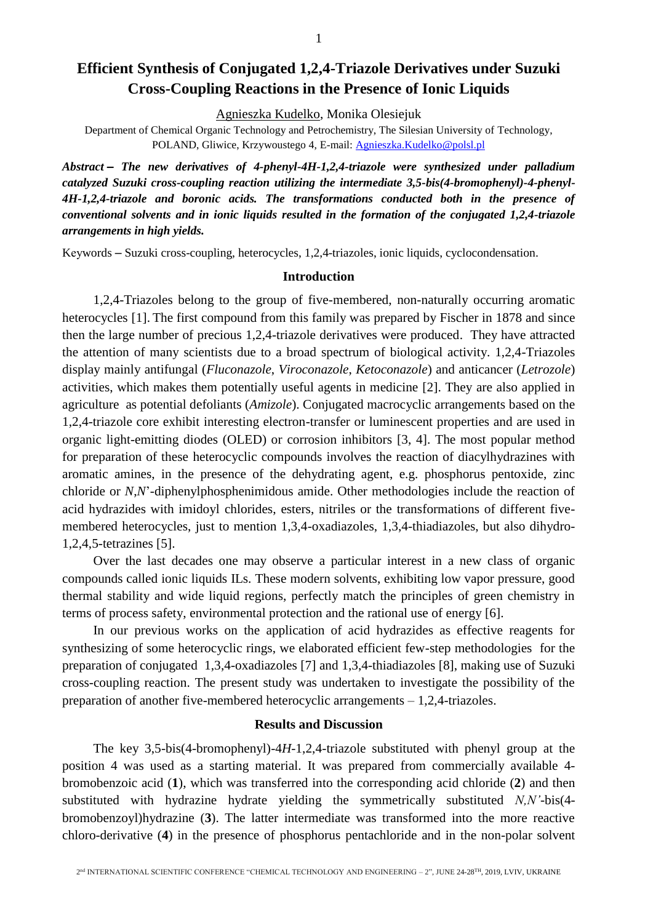# **Efficient Synthesis of Conjugated 1,2,4-Triazole Derivatives under Suzuki Cross-Coupling Reactions in the Presence of Ionic Liquids**

Agnieszka Kudelko, Monika Olesiejuk

Department of Chemical Organic Technology and Petrochemistry, The Silesian University of Technology, POLAND, Gliwice, Krzywoustego 4, E-mail: [Agnieszka.Kudelko@polsl.pl](mailto:Agnieszka.Kudelko@polsl.pl)

*Abstract – The new derivatives of 4-phenyl-4H-1,2,4-triazole were synthesized under palladium catalyzed Suzuki cross-coupling reaction utilizing the intermediate 3,5-bis(4-bromophenyl)-4-phenyl-4H-1,2,4-triazole and boronic acids. The transformations conducted both in the presence of conventional solvents and in ionic liquids resulted in the formation of the conjugated 1,2,4-triazole arrangements in high yields.*

Kеуwords – Suzuki cross-coupling, heterocycles, 1,2,4-triazoles, ionic liquids, cyclocondensation.

## **Introduction**

1,2,4-Triazoles belong to the group of five-membered, non-naturally occurring aromatic heterocycles [1]. The first compound from this family was prepared by Fischer in 1878 and since then the large number of precious 1,2,4-triazole derivatives were produced. They have attracted the attention of many scientists due to a broad spectrum of biological activity. 1,2,4-Triazoles display mainly antifungal (*Fluconazole*, *Viroconazole*, *Ketoconazole*) and anticancer (*Letrozole*) activities, which makes them potentially useful agents in medicine [2]. They are also applied in agriculture as potential defoliants (*Amizole*). Conjugated macrocyclic arrangements based on the 1,2,4-triazole core exhibit interesting electron-transfer or luminescent properties and are used in organic light-emitting diodes (OLED) or corrosion inhibitors [3, 4]. The most popular method for preparation of these heterocyclic compounds involves the reaction of diacylhydrazines with aromatic amines, in the presence of the dehydrating agent, e.g. phosphorus pentoxide, zinc chloride or *N*,*N*'-diphenylphosphenimidous amide. Other methodologies include the reaction of acid hydrazides with imidoyl chlorides, esters, nitriles or the transformations of different fivemembered heterocycles, just to mention 1,3,4-oxadiazoles, 1,3,4-thiadiazoles, but also dihydro-1,2,4,5-tetrazines [5].

Over the last decades one may observe a particular interest in a new class of organic compounds called ionic liquids ILs. These modern solvents, exhibiting low vapor pressure, good thermal stability and wide liquid regions, perfectly match the principles of green chemistry in terms of process safety, environmental protection and the rational use of energy [6].

In our previous works on the application of acid hydrazides as effective reagents for synthesizing of some heterocyclic rings, we elaborated efficient few-step methodologies for the preparation of conjugated 1,3,4-oxadiazoles [7] and 1,3,4-thiadiazoles [8], making use of Suzuki cross-coupling reaction. The present study was undertaken to investigate the possibility of the preparation of another five-membered heterocyclic arrangements – 1,2,4-triazoles.

## **Results and Discussion**

The key 3,5-bis(4-bromophenyl)-4*H*-1,2,4-triazole substituted with phenyl group at the position 4 was used as a starting material. It was prepared from commercially available 4 bromobenzoic acid (**1**), which was transferred into the corresponding acid chloride (**2**) and then substituted with hydrazine hydrate yielding the symmetrically substituted *N,N'*-bis(4 bromobenzoyl)hydrazine (**3**). The latter intermediate was transformed into the more reactive chloro-derivative (**4**) in the presence of phosphorus pentachloride and in the non-polar solvent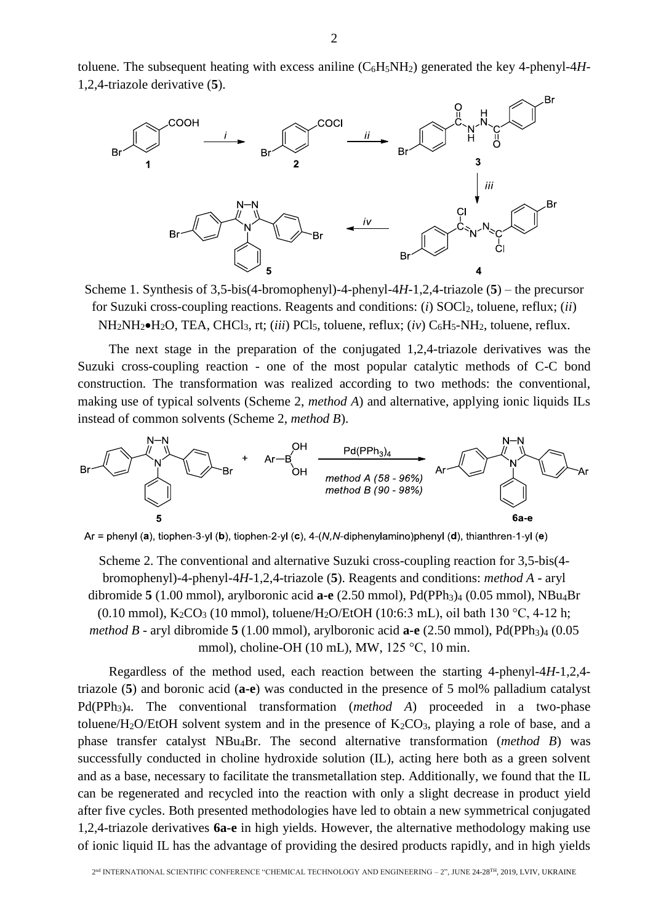toluene. The subsequent heating with excess aniline  $(C_6H_5NH_2)$  generated the key 4-phenyl-4*H*-1,2,4-triazole derivative (**5**).



Scheme 1. Synthesis of 3,5-bis(4-bromophenyl)-4-phenyl-4*H*-1,2,4-triazole (**5**) – the precursor for Suzuki cross-coupling reactions. Reagents and conditions: (*i*) SOCl2, toluene, reflux; (*ii*) NH<sub>2</sub>NH<sub>2</sub> $\bullet$ H<sub>2</sub>O, TEA, CHCl<sub>3</sub>, rt; (*iii*) PCl<sub>5</sub>, toluene, reflux; (*iv*) C<sub>6</sub>H<sub>5</sub>-NH<sub>2</sub>, toluene, reflux.

The next stage in the preparation of the conjugated 1,2,4-triazole derivatives was the Suzuki cross-coupling reaction - one of the most popular catalytic methods of C-C bond construction. The transformation was realized according to two methods: the conventional, making use of typical solvents (Scheme 2, *method A*) and alternative, applying ionic liquids ILs instead of common solvents (Scheme 2, *method B*).



 $Ar =$ phenyl (a), tiophen-3-yl (b), tiophen-2-yl (c), 4-(N, N-diphenylamino)phenyl (d), thianthren-1-yl (e)

Scheme 2. The conventional and alternative Suzuki cross-coupling reaction for 3,5-bis(4 bromophenyl)-4-phenyl-4*H*-1,2,4-triazole (**5**). Reagents and conditions: *method A* - aryl dibromide **5** (1.00 mmol), arylboronic acid **a-e** (2.50 mmol), Pd(PPh<sub>3</sub>)<sub>4</sub> (0.05 mmol), NBu<sub>4</sub>Br (0.10 mmol),  $K_2CO_3$  (10 mmol), toluene/H<sub>2</sub>O/EtOH (10:6:3 mL), oil bath 130 °C, 4-12 h; *method B* - aryl dibromide **5** (1.00 mmol), arylboronic acid **a-e** (2.50 mmol), Pd(PPh<sub>3</sub>)<sub>4</sub> (0.05 mmol), choline-OH (10 mL), MW, 125 °C, 10 min.

Regardless of the method used, each reaction between the starting 4-phenyl-4*H*-1,2,4 triazole (**5**) and boronic acid (**a-e**) was conducted in the presence of 5 mol% palladium catalyst Pd(PPh3)4. The conventional transformation (*method A*) proceeded in a two-phase toluene/H<sub>2</sub>O/EtOH solvent system and in the presence of  $K_2CO_3$ , playing a role of base, and a phase transfer catalyst NBu4Br. The second alternative transformation (*method B*) was successfully conducted in choline hydroxide solution (IL), acting here both as a green solvent and as a base, necessary to facilitate the transmetallation step. Additionally, we found that the IL can be regenerated and recycled into the reaction with only a slight decrease in product yield after five cycles. Both presented methodologies have led to obtain a new symmetrical conjugated 1,2,4-triazole derivatives **6a-e** in high yields. However, the alternative methodology making use of ionic liquid IL has the advantage of providing the desired products rapidly, and in high yields